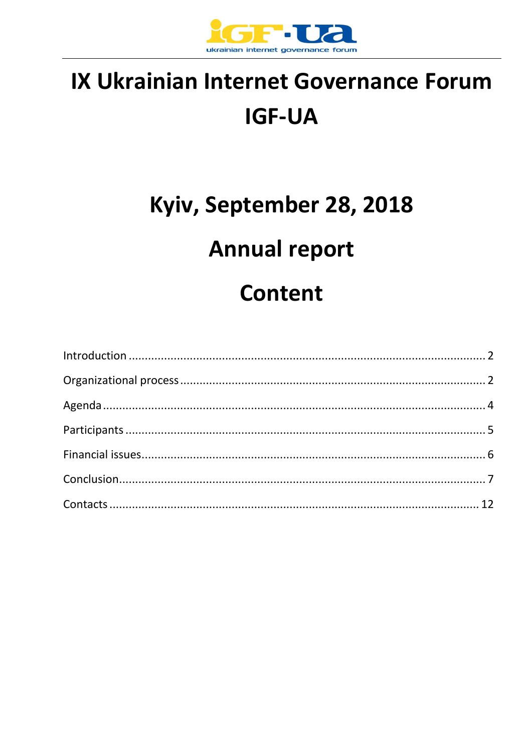

## IX Ukrainian Internet Governance Forum **IGF-UA**

# Kyiv, September 28, 2018 **Annual report Content**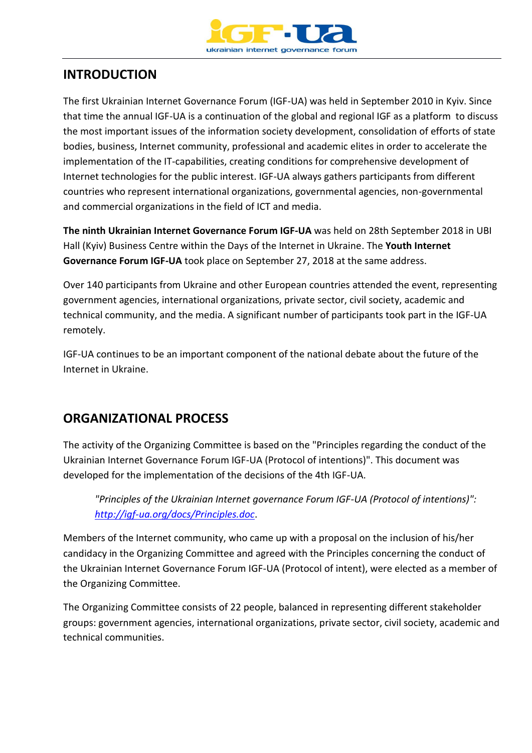

## **INTRODUCTION**

The first Ukrainian Internet Governance Forum (IGF-UA) was held in September 2010 in Kyiv. Since that time the annual IGF-UA is a continuation of the global and regional IGF as a platform to discuss the most important issues of the information society development, consolidation of efforts of state bodies, business, Internet community, professional and academic elites in order to accelerate the implementation of the IT-capabilities, creating conditions for comprehensive development of Internet technologies for the public interest. IGF-UA always gathers participants from different countries who represent international organizations, governmental agencies, non-governmental and commercial organizations in the field of ICT and media.

**The ninth Ukrainian Internet Governance Forum IGF-UA** was held on 28th September 2018 in UBI Hall (Kyiv) Business Centre within the Days of the Internet in Ukraine. The **Youth Internet Governance Forum IGF-UA** took place on September 27, 2018 at the same address.

Over 140 participants from Ukraine and other European countries attended the event, representing government agencies, international organizations, private sector, civil society, academic and technical community, and the media. A significant number of participants took part in the IGF-UA remotely.

IGF-UA continues to be an important component of the national debate about the future of the Internet in Ukraine.

## **ORGANIZATIONAL PROCESS**

The activity of the Organizing Committee is based on the "Principles regarding the conduct of the Ukrainian Internet Governance Forum IGF-UA (Protocol of intentions)". This document was developed for the implementation of the decisions of the 4th IGF-UA.

*"Principles of the Ukrainian Internet governance Forum IGF-UA (Protocol of intentions)": <http://igf-ua.org/docs/Principles.doc>*.

Members of the Internet community, who came up with a proposal on the inclusion of his/her candidacy in the Organizing Committee and agreed with the Principles concerning the conduct of the Ukrainian Internet Governance Forum IGF-UA (Protocol of intent), were elected as a member of the Organizing Committee.

The Organizing Committee consists of 22 people, balanced in representing different stakeholder groups: government agencies, international organizations, private sector, civil society, academic and technical communities.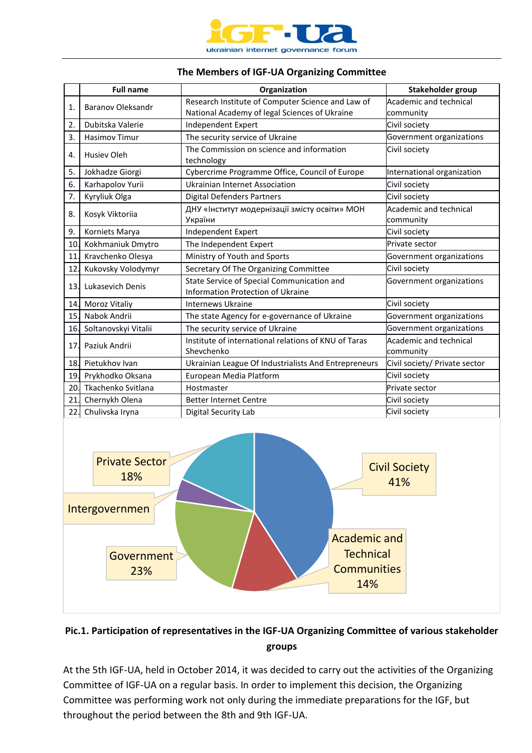

#### **The Members of IGF-UA Organizing Committee**

|                                                                         | <b>Full name</b>         | Organization                                                                                                | Stakeholder group             |  |  |
|-------------------------------------------------------------------------|--------------------------|-------------------------------------------------------------------------------------------------------------|-------------------------------|--|--|
| 1.                                                                      | <b>Baranov Oleksandr</b> | Research Institute of Computer Science and Law of                                                           | Academic and technical        |  |  |
|                                                                         |                          | National Academy of legal Sciences of Ukraine                                                               | community                     |  |  |
| 2.                                                                      | Dubitska Valerie         | Independent Expert                                                                                          | Civil society                 |  |  |
| 3.                                                                      | <b>Hasimov Timur</b>     | The security service of Ukraine                                                                             | Government organizations      |  |  |
| 4.                                                                      | Husiev Oleh              | The Commission on science and information                                                                   | Civil society                 |  |  |
|                                                                         |                          | technology                                                                                                  |                               |  |  |
| 5.                                                                      | Jokhadze Giorgi          | Cybercrime Programme Office, Council of Europe                                                              | International organization    |  |  |
| 6.                                                                      | Karhapolov Yurii         | <b>Ukrainian Internet Association</b>                                                                       | Civil society                 |  |  |
| 7.                                                                      | Kyryliuk Olga            | <b>Digital Defenders Partners</b><br>Civil society                                                          |                               |  |  |
| 8.                                                                      | Kosyk Viktoriia          | ДНУ «Інститут модернізації змісту освіти» МОН                                                               | Academic and technical        |  |  |
|                                                                         |                          | України                                                                                                     | community                     |  |  |
| 9.                                                                      | Korniets Marya           | Independent Expert<br>Civil society                                                                         |                               |  |  |
| 10.                                                                     | Kokhmaniuk Dmytro        | Private sector<br>The Independent Expert                                                                    |                               |  |  |
| 11.                                                                     | Kravchenko Olesya        | Ministry of Youth and Sports                                                                                | Government organizations      |  |  |
| 12.                                                                     | Kukovsky Volodymyr       | Secretary Of The Organizing Committee                                                                       | Civil society                 |  |  |
| 13.                                                                     | Lukasevich Denis         | State Service of Special Communication and<br>Government organizations<br>Information Protection of Ukraine |                               |  |  |
|                                                                         | 14. Moroz Vitaliy        | Civil society<br><b>Internews Ukraine</b>                                                                   |                               |  |  |
| 15.                                                                     | Nabok Andrii             | The state Agency for e-governance of Ukraine<br>Government organizations                                    |                               |  |  |
| 16.                                                                     | Soltanovskyi Vitalii     | The security service of Ukraine<br>Government organizations                                                 |                               |  |  |
| 17.                                                                     | Paziuk Andrii            | Institute of international relations of KNU of Taras                                                        | Academic and technical        |  |  |
|                                                                         |                          | Shevchenko                                                                                                  | community                     |  |  |
| 18.                                                                     | Pietukhov Ivan           | Ukrainian League Of Industrialists And Entrepreneurs                                                        | Civil society/ Private sector |  |  |
|                                                                         | 19. Prykhodko Oksana     | European Media Platform                                                                                     | Civil society                 |  |  |
|                                                                         | 20. Tkachenko Svitlana   | Private sector<br>Hostmaster                                                                                |                               |  |  |
| 21.                                                                     | Chernykh Olena           | Civil society<br><b>Better Internet Centre</b>                                                              |                               |  |  |
| 22.                                                                     | Chulivska Iryna          | Digital Security Lab                                                                                        | Civil society                 |  |  |
| <b>Private Sector</b><br><b>Civil Society</b><br>18%<br>41%             |                          |                                                                                                             |                               |  |  |
| Intergovernmen<br><b>Academic and</b><br><b>Technical</b><br>Government |                          |                                                                                                             |                               |  |  |
|                                                                         | 23%                      | <b>Communities</b>                                                                                          |                               |  |  |
|                                                                         |                          | 14%                                                                                                         |                               |  |  |

#### **Pic.1. Participation of representatives in the IGF-UA Organizing Committee of various stakeholder groups**

At the 5th IGF-UA, held in October 2014, it was decided to carry out the activities of the Organizing Committee of IGF-UA on a regular basis. In order to implement this decision, the Organizing Committee was performing work not only during the immediate preparations for the IGF, but throughout the period between the 8th and 9th IGF-UA.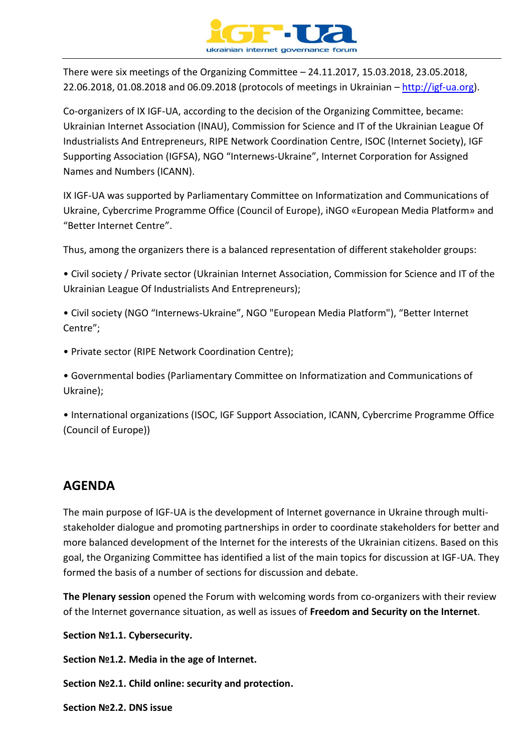

There were six meetings of the Organizing Committee – 24.11.2017, 15.03.2018, 23.05.2018, 22.06.2018, 01.08.2018 and 06.09.2018 (protocols of meetings in Ukrainian – [http://igf-ua.org\)](http://igf-ua.org/).

Co-organizers of IX IGF-UA, according to the decision of the Organizing Committee, became: Ukrainian Internet Association (INAU), Commission for Science and IT of the Ukrainian League Of Industrialists And Entrepreneurs, RIPE Network Coordination Centre, ISOC (Internet Society), IGF Supporting Association (IGFSA), NGO "Internews-Ukraine", Internet Corporation for Assigned Names and Numbers (ICANN).

IX IGF-UA was supported by Parliamentary Committee on Informatization and Communications of Ukraine, Cybercrime Programme Office (Council of Europe), iNGO «European Media Platform» and "Better Internet Centre".

Thus, among the organizers there is a balanced representation of different stakeholder groups:

• Civil society / Private sector (Ukrainian Internet Association, Commission for Science and IT of the Ukrainian League Of Industrialists And Entrepreneurs);

• Civil society (NGO "Internews-Ukraine", NGO "European Media Platform"), "Better Internet Centre";

• Private sector (RIPE Network Coordination Centre);

• Governmental bodies (Parliamentary Committee on Informatization and Communications of Ukraine);

• International organizations (ISOC, IGF Support Association, ICANN, Cybercrime Programme Office (Council of Europe))

### **AGENDA**

The main purpose of IGF-UA is the development of Internet governance in Ukraine through multistakeholder dialogue and promoting partnerships in order to coordinate stakeholders for better and more balanced development of the Internet for the interests of the Ukrainian citizens. Based on this goal, the Organizing Committee has identified a list of the main topics for discussion at IGF-UA. They formed the basis of a number of sections for discussion and debate.

**The Plenary session** opened the Forum with welcoming words from co-organizers with their review of the Internet governance situation, as well as issues of **Freedom and Security on the Internet**.

**Section №1.1. Cybersecurity.**

**Section №1.2. Media in the age of Internet.**

**Section №2.1. Child online: security and protection.**

**Section №2.2. DNS issue**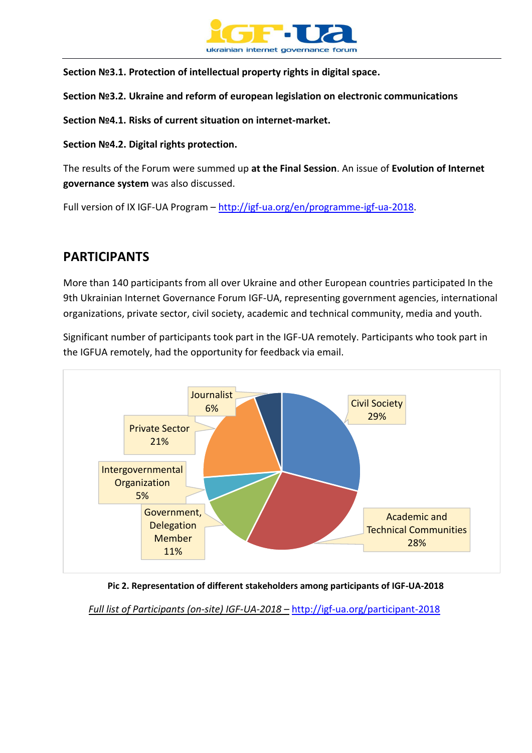

**Section №3.1. Protection of intellectual property rights in digital space.**

**Section №3.2. Ukraine and reform of european legislation on electronic communications**

**Section №4.1. Risks of current situation on internet-market.**

**Section №4.2. Digital rights protection.**

The results of the Forum were summed up **at the Final Session**. An issue of **Evolution of Internet governance system** was also discussed.

Full version of IX IGF-UA Program – [http://igf-ua.org/en/programme-igf-ua-2018.](http://igf-ua.org/en/programme-igf-ua-2018)

## **PARTICIPANTS**

More than 140 participants from all over Ukraine and other European countries participated In the 9th Ukrainian Internet Governance Forum IGF-UA, representing government agencies, international organizations, private sector, civil society, academic and technical community, media and youth.

Significant number of participants took part in the IGF-UA remotely. Participants who took part in the IGFUA remotely, had the opportunity for feedback via email.



**Pic 2. Representation of different stakeholders among participants of IGF-UA-2018**

*Full list of Participants (on-site) IGF-UA-2018 –* http://igf-ua.org/participant-2018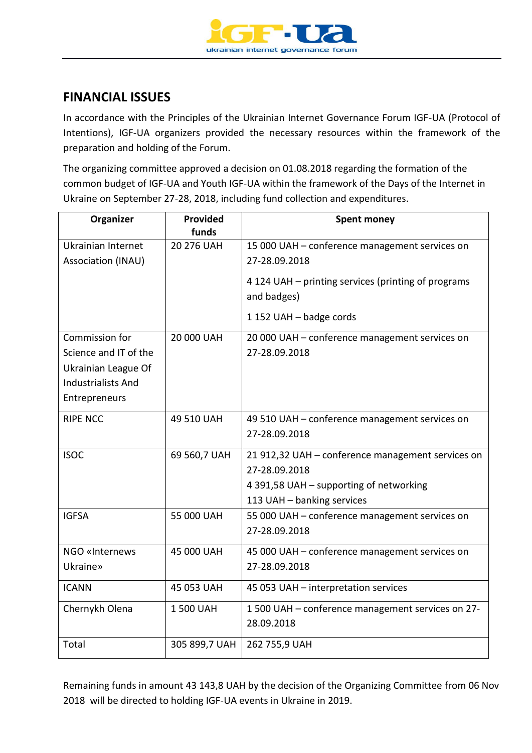

## **FINANCIAL ISSUES**

In accordance with the Principles of the Ukrainian Internet Governance Forum IGF-UA (Protocol of Intentions), IGF-UA organizers provided the necessary resources within the framework of the preparation and holding of the Forum.

The organizing committee approved a decision on 01.08.2018 regarding the formation of the common budget of IGF-UA and Youth IGF-UA within the framework of the Days of the Internet in Ukraine on September 27-28, 2018, including fund collection and expenditures.

| Organizer                                                                                                    | Provided<br>funds | <b>Spent money</b>                                                                                                                          |
|--------------------------------------------------------------------------------------------------------------|-------------------|---------------------------------------------------------------------------------------------------------------------------------------------|
| Ukrainian Internet<br>Association (INAU)                                                                     | 20 276 UAH        | 15 000 UAH - conference management services on<br>27-28.09.2018                                                                             |
|                                                                                                              |                   | 4 124 UAH – printing services (printing of programs<br>and badges)                                                                          |
|                                                                                                              |                   | 1 152 UAH - badge cords                                                                                                                     |
| Commission for<br>Science and IT of the<br>Ukrainian League Of<br><b>Industrialists And</b><br>Entrepreneurs | 20 000 UAH        | 20 000 UAH - conference management services on<br>27-28.09.2018                                                                             |
| <b>RIPE NCC</b>                                                                                              | 49 510 UAH        | 49 510 UAH - conference management services on<br>27-28.09.2018                                                                             |
| <b>ISOC</b>                                                                                                  | 69 560,7 UAH      | 21 912,32 UAH - conference management services on<br>27-28.09.2018<br>4 391,58 UAH - supporting of networking<br>113 UAH - banking services |
| <b>IGFSA</b>                                                                                                 | 55 000 UAH        | 55 000 UAH - conference management services on<br>27-28.09.2018                                                                             |
| NGO «Internews<br><b>Ukraine»</b>                                                                            | 45 000 UAH        | 45 000 UAH - conference management services on<br>27-28.09.2018                                                                             |
| <b>ICANN</b>                                                                                                 | 45 053 UAH        | 45 053 UAH - interpretation services                                                                                                        |
| Chernykh Olena                                                                                               | 1 500 UAH         | 1500 UAH - conference management services on 27-<br>28.09.2018                                                                              |
| Total                                                                                                        | 305 899,7 UAH     | 262 755,9 UAH                                                                                                                               |

Remaining funds in amount 43 143,8 UAH by the decision of the Organizing Committee from 06 Nov 2018 will be directed to holding IGF-UA events in Ukraine in 2019.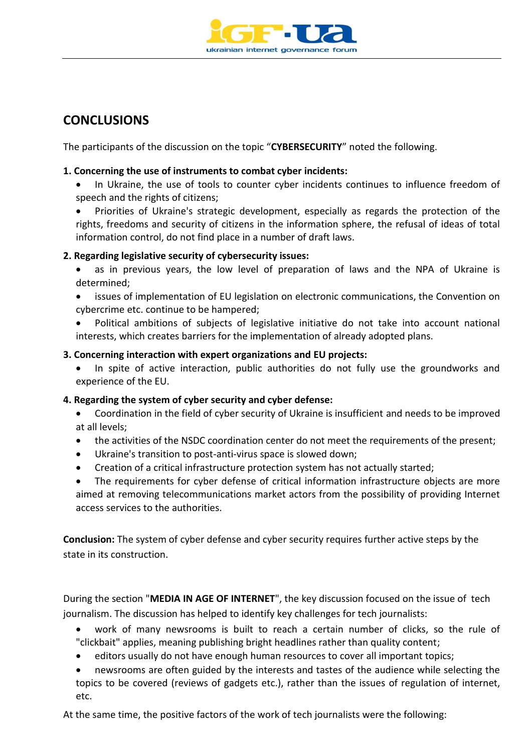

## **CONCLUSIONS**

The participants of the discussion on the topic "**CYBERSECURITY**" noted the following.

#### **1. Concerning the use of instruments to combat cyber incidents:**

- In Ukraine, the use of tools to counter cyber incidents continues to influence freedom of speech and the rights of citizens;
- Priorities of Ukraine's strategic development, especially as regards the protection of the rights, freedoms and security of citizens in the information sphere, the refusal of ideas of total information control, do not find place in a number of draft laws.

#### **2. Regarding legislative security of cybersecurity issues:**

- as in previous years, the low level of preparation of laws and the NPA of Ukraine is determined;
- issues of implementation of EU legislation on electronic communications, the Convention on cybercrime etc. continue to be hampered;
- Political ambitions of subjects of legislative initiative do not take into account national interests, which creates barriers for the implementation of already adopted plans.

#### **3. Concerning interaction with expert organizations and EU projects:**

 In spite of active interaction, public authorities do not fully use the groundworks and experience of the EU.

#### **4. Regarding the system of cyber security and cyber defense:**

- Coordination in the field of cyber security of Ukraine is insufficient and needs to be improved at all levels;
- the activities of the NSDC coordination center do not meet the requirements of the present;
- Ukraine's transition to post-anti-virus space is slowed down;
- Creation of a critical infrastructure protection system has not actually started;
- The requirements for cyber defense of critical information infrastructure objects are more aimed at removing telecommunications market actors from the possibility of providing Internet access services to the authorities.

**Conclusion:** The system of cyber defense and cyber security requires further active steps by the state in its construction.

During the section "**MEDIA IN AGE OF INTERNET**", the key discussion focused on the issue of tech journalism. The discussion has helped to identify key challenges for tech journalists:

- work of many newsrooms is built to reach a certain number of clicks, so the rule of "clickbait" applies, meaning publishing bright headlines rather than quality content;
- editors usually do not have enough human resources to cover all important topics;
- newsrooms are often guided by the interests and tastes of the audience while selecting the topics to be covered (reviews of gadgets etc.), rather than the issues of regulation of internet, etc.

At the same time, the positive factors of the work of tech journalists were the following: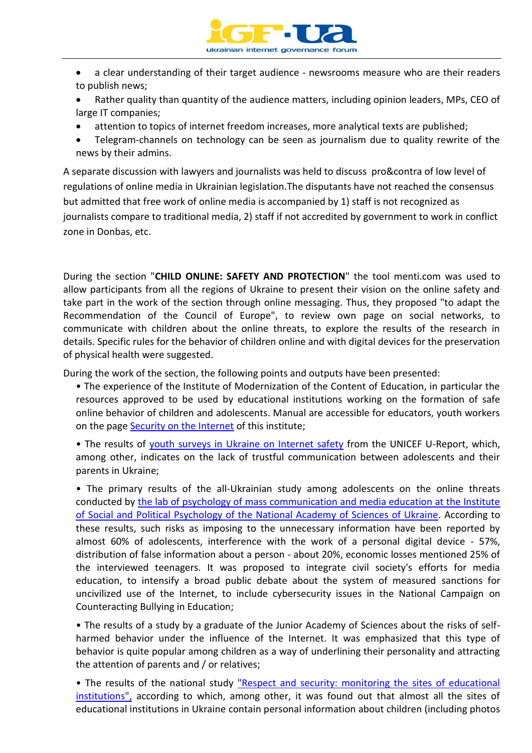

- a clear understanding of their target audience newsrooms measure who are their readers to publish news;
- Rather quality than quantity of the audience matters, including opinion leaders, MPs, CEO of large IT companies;
- attention to topics of internet freedom increases, more analytical texts are published;
- Telegram-channels on technology can be seen as journalism due to quality rewrite of the news by their admins.

A separate discussion with lawyers and journalists was held to discuss pro&contra of low level of regulations of online media in Ukrainian legislation.The disputants have not reached the consensus but admitted that free work of online media is accompanied by 1) staff is not recognized as journalists compare to traditional media, 2) staff if not accredited by government to work in conflict zone in Donbas, etc.

During the section "**CHILD ONLINE: SAFETY AND PROTECTION**" the tool menti.com was used to allow participants from all the regions of Ukraine to present their vision on the online safety and take part in the work of the section through online messaging. Thus, they proposed "to adapt the Recommendation of the Council of Europe", to review own page on social networks, to communicate with children about the online threats, to explore the results of the research in details. Specific rules for the behavior of children online and with digital devices for the preservation of physical health were suggested.

During the work of the section, the following points and outputs have been presented:

• The experience of the Institute of Modernization of the Content of Education, in particular the resources approved to be used by educational institutions working on the formation of safe online behavior of children and adolescents. Manual are accessible for educators, youth workers on the page **Security on the Internet of this institute**;

• The results of [youth surveys in Ukraine on Internet safety](https://ukraine.ureport.in/poll/1895/) from the UNICEF U-Report, which, among other, indicates on the lack of trustful communication between adolescents and their parents in Ukraine;

• The primary results of the all-Ukrainian study among adolescents on the online threats conducted by the lab of [psychology of mass communication and media education at the Institute](http://mediaosvita.org.ua/uk/)  [of Social and Political Psychology of the National Academy of Sciences of Ukraine.](http://mediaosvita.org.ua/uk/) According to these results, such risks as imposing to the unnecessary information have been reported by almost 60% of adolescents, interference with the work of a personal digital device - 57%, distribution of false information about a person - about 20%, economic losses mentioned 25% of the interviewed teenagers. It was proposed to integrate civil society's efforts for media education, to intensify a broad public debate about the system of measured sanctions for uncivilized use of the Internet, to include cybersecurity issues in the National Campaign on Counteracting Bullying in Education;

• The results of a study by a graduate of the Junior Academy of Sciences about the risks of selfharmed behavior under the influence of the Internet. It was emphasized that this type of behavior is quite popular among children as a way of underlining their personality and attracting the attention of parents and / or relatives;

• The results of the national study "Respect and security: monitoring the sites of educational [institutions",](https://betterinternetcentre.org/?p=257) according to which, among other, it was found out that almost all the sites of educational institutions in Ukraine contain personal information about children (including photos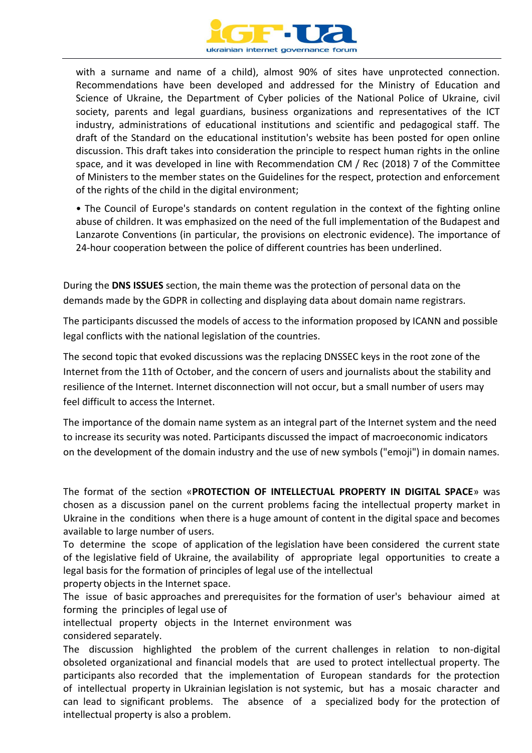

with a surname and name of a child), almost 90% of sites have unprotected connection. Recommendations have been developed and addressed for the Ministry of Education and Science of Ukraine, the Department of Cyber policies of the National Police of Ukraine, civil society, parents and legal guardians, business organizations and representatives of the ICT industry, administrations of educational institutions and scientific and pedagogical staff. The draft of the Standard on the educational institution's website has been posted for open online discussion. This draft takes into consideration the principle to respect human rights in the online space, and it was developed in line with Recommendation CM / Rec (2018) 7 of the Committee of Ministers to the member states on the Guidelines for the respect, protection and enforcement of the rights of the child in the digital environment;

• The Council of Europe's standards on content regulation in the context of the fighting online abuse of children. It was emphasized on the need of the full implementation of the Budapest and Lanzarote Conventions (in particular, the provisions on electronic evidence). The importance of 24-hour cooperation between the police of different countries has been underlined.

During the **DNS ISSUES** section, the main theme was the protection of personal data on the demands made by the GDPR in collecting and displaying data about domain name registrars.

The participants discussed the models of access to the information proposed by ICANN and possible legal conflicts with the national legislation of the countries.

The second topic that evoked discussions was the replacing DNSSEC keys in the root zone of the Internet from the 11th of October, and the concern of users and journalists about the stability and resilience of the Internet. Internet disconnection will not occur, but a small number of users may feel difficult to access the Internet.

The importance of the domain name system as an integral part of the Internet system and the need to increase its security was noted. Participants discussed the impact of macroeconomic indicators on the development of the domain industry and the use of new symbols ("emoji") in domain names.

The format of the section «**PROTECTION OF INTELLECTUAL PROPERTY IN DIGITAL SPACE**» was chosen as a discussion panel on the current problems facing the intellectual property market in Ukraine in the conditions when there is a huge amount of content in the digital space and becomes available to large number of users.

To determine the scope of application of the legislation have been considered the current state of the legislative field of Ukraine, the availability of appropriate legal opportunities to create a legal basis for the formation of principles of legal use of the intellectual

property objects in the Internet space.

The issue of basic approaches and prerequisites for the formation of user's behaviour aimed at forming the principles of legal use of

intellectual property objects in the Internet environment was

considered separately.

The discussion highlighted the problem of the current challenges in relation to non-digital obsoleted organizational and financial models that are used to protect intellectual property. The participants also recorded that the implementation of European standards for the protection of intellectual property in Ukrainian legislation is not systemic, but has a mosaic character and can lead to significant problems. The absence of a specialized body for the protection of intellectual property is also a problem.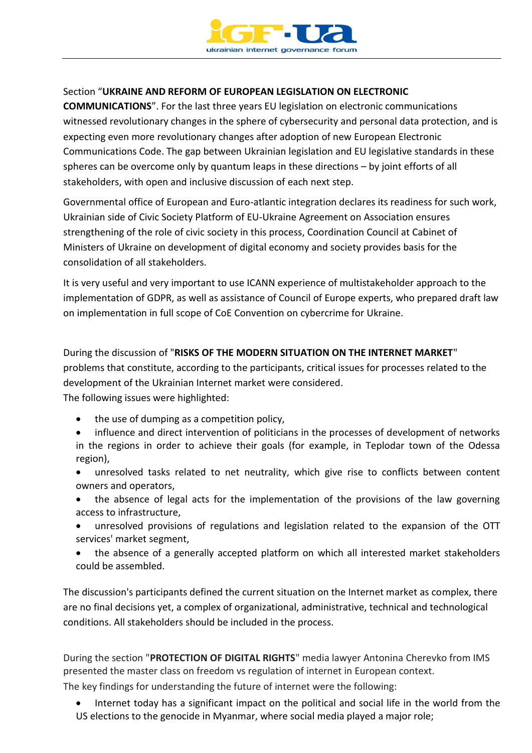

#### Section "**UKRAINE AND REFORM OF EUROPEAN LEGISLATION ON ELECTRONIC**

**COMMUNICATIONS**". For the last three years EU legislation on electronic communications witnessed revolutionary changes in the sphere of cybersecurity and personal data protection, and is expecting even more revolutionary changes after adoption of new European Electronic Communications Code. The gap between Ukrainian legislation and EU legislative standards in these spheres can be overcome only by quantum leaps in these directions – by joint efforts of all stakeholders, with open and inclusive discussion of each next step.

Governmental office of European and Euro-atlantic integration declares its readiness for such work, Ukrainian side of Civic Society Platform of EU-Ukraine Agreement on Association ensures strengthening of the role of civic society in this process, Coordination Council at Cabinet of Ministers of Ukraine on development of digital economy and society provides basis for the consolidation of all stakeholders.

It is very useful and very important to use ICANN experience of multistakeholder approach to the implementation of GDPR, as well as assistance of Council of Europe experts, who prepared draft law on implementation in full scope of CoE Convention on cybercrime for Ukraine.

During the discussion of "**RISKS OF THE MODERN SITUATION ON THE INTERNET MARKET**" problems that constitute, according to the participants, critical issues for processes related to the development of the Ukrainian Internet market were considered.

The following issues were highlighted:

- the use of dumping as a competition policy,
- influence and direct intervention of politicians in the processes of development of networks in the regions in order to achieve their goals (for example, in Teplodar town of the Odessa region),
- unresolved tasks related to net neutrality, which give rise to conflicts between content owners and operators,
- the absence of legal acts for the implementation of the provisions of the law governing access to infrastructure,
- unresolved provisions of regulations and legislation related to the expansion of the OTT services' market segment,
- the absence of a generally accepted platform on which all interested market stakeholders could be assembled.

The discussion's participants defined the current situation on the Internet market as complex, there are no final decisions yet, a complex of organizational, administrative, technical and technological conditions. All stakeholders should be included in the process.

During the section "**PROTECTION OF DIGITAL RIGHTS**" media lawyer Antonina Cherevko from IMS presented the master class on freedom vs regulation of internet in European context. The key findings for understanding the future of internet were the following:

 Internet today has a significant impact on the political and social life in the world from the US elections to the genocide in Myanmar, where social media played a major role;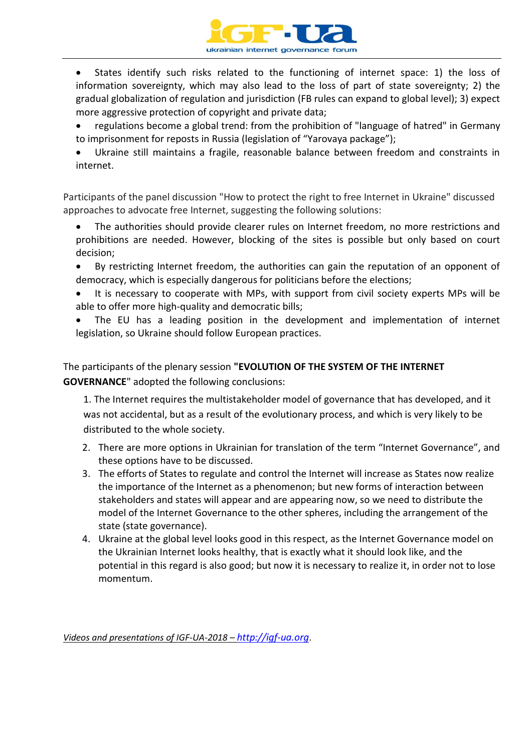

 States identify such risks related to the functioning of internet space: 1) the loss of information sovereignty, which may also lead to the loss of part of state sovereignty; 2) the gradual globalization of regulation and jurisdiction (FB rules can expand to global level); 3) expect more aggressive protection of copyright and private data;

- regulations become a global trend: from the prohibition of "language of hatred" in Germany to imprisonment for reposts in Russia (legislation of "Yarovaya package");
- Ukraine still maintains a fragile, reasonable balance between freedom and constraints in internet.

Participants of the panel discussion "How to protect the right to free Internet in Ukraine" discussed approaches to advocate free Internet, suggesting the following solutions:

- The authorities should provide clearer rules on Internet freedom, no more restrictions and prohibitions are needed. However, blocking of the sites is possible but only based on court decision;
- By restricting Internet freedom, the authorities can gain the reputation of an opponent of democracy, which is especially dangerous for politicians before the elections;
- It is necessary to cooperate with MPs, with support from civil society experts MPs will be able to offer more high-quality and democratic bills;
- The EU has a leading position in the development and implementation of internet legislation, so Ukraine should follow European practices.

The participants of the plenary session **"EVOLUTION OF THE SYSTEM OF THE INTERNET GOVERNANCE**" adopted the following conclusions:

1. The Internet requires the multistakeholder model of governance that has developed, and it was not accidental, but as a result of the evolutionary process, and which is very likely to be distributed to the whole society.

- 2. There are more options in Ukrainian for translation of the term "Internet Governance", and these options have to be discussed.
- 3. The efforts of States to regulate and control the Internet will increase as States now realize the importance of the Internet as a phenomenon; but new forms of interaction between stakeholders and states will appear and are appearing now, so we need to distribute the model of the Internet Governance to the other spheres, including the arrangement of the state (state governance).
- 4. Ukraine at the global level looks good in this respect, as the Internet Governance model on the Ukrainian Internet looks healthy, that is exactly what it should look like, and the potential in this regard is also good; but now it is necessary to realize it, in order not to lose momentum.

*Videos and presentations of IGF-UA-2018 – [http://igf-ua.org](http://igf-ua.org/)*.